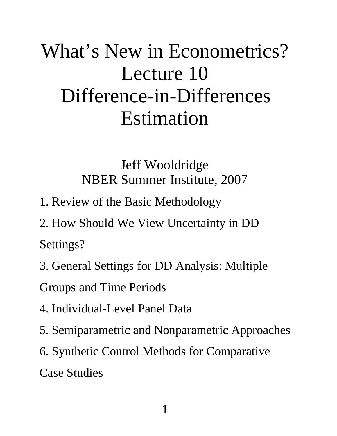# What's New in Econometrics? Lecture 10 Difference-in-Differences Estimation

Jeff Wooldridge NBER Summer Institute, 2007

1. Review of the Basic Methodology

2. How Should We View Uncertainty in DD Settings?

3. General Settings for DD Analysis: Multiple

Groups and Time Periods

- 4. Individual-Level Panel Data
- 5. Semiparametric and Nonparametric Approaches
- 6. Synthetic Control Methods for Comparative

Case Studies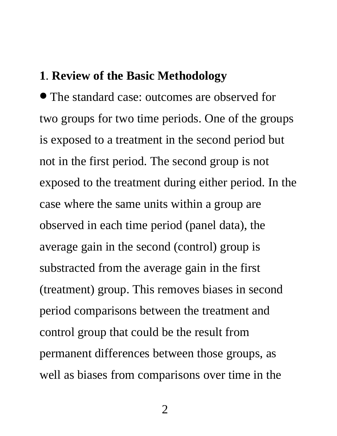#### **1**. **Review of the Basic Methodology**

∙ The standard case: outcomes are observed for two groups for two time periods. One of the groups is exposed to a treatment in the second period but not in the first period. The second group is not exposed to the treatment during either period. In the case where the same units within a group are observed in each time period (panel data), the average gain in the second (control) group is substracted from the average gain in the first (treatment) group. This removes biases in second period comparisons between the treatment and control group that could be the result from permanent differences between those groups, as well as biases from comparisons over time in the

2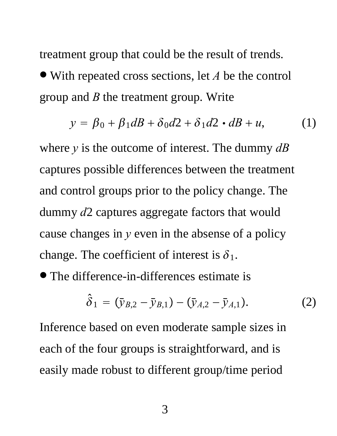treatment group that could be the result of trends. ∙ With repeated cross sections, let *<sup>A</sup>* be the control group and *B* the treatment group. Write

$$
y = \beta_0 + \beta_1 dB + \delta_0 d2 + \delta_1 d2 \cdot dB + u,\tag{1}
$$

where *y* is the outcome of interest. The dummy *dB* captures possible differences between the treatment and control groups prior to the policy change. The dummy *d*2 captures aggregate factors that would cause changes in *y* even in the absense of a policy change. The coefficient of interest is  $\delta_1$ .

∙ The difference-in-differences estimate is

$$
\hat{\delta}_1 = (\bar{y}_{B,2} - \bar{y}_{B,1}) - (\bar{y}_{A,2} - \bar{y}_{A,1}).
$$
 (2)

Inference based on even moderate sample sizes in each of the four groups is straightforward, and is easily made robust to different group/time period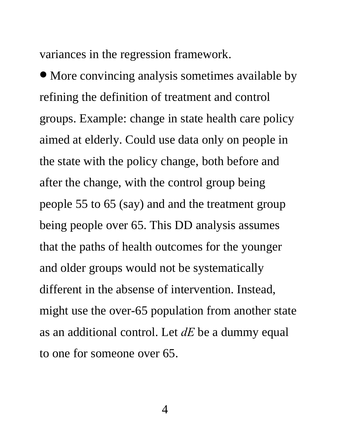variances in the regression framework.

∙ More convincing analysis sometimes available by refining the definition of treatment and control groups. Example: change in state health care policy aimed at elderly. Could use data only on people in the state with the policy change, both before and after the change, with the control group being people 55 to 65 (say) and and the treatment group being people over 65. This DD analysis assumes that the paths of health outcomes for the younger and older groups would not be systematically different in the absense of intervention. Instead, might use the over-65 population from another state as an additional control. Let *dE* be a dummy equal to one for someone over 65.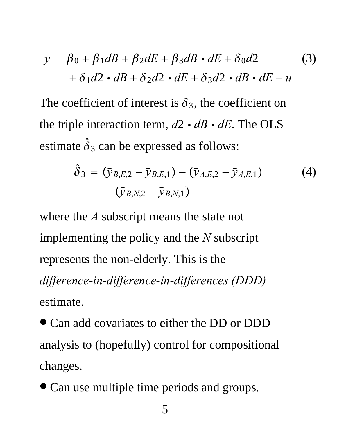$$
y = \beta_0 + \beta_1 dB + \beta_2 dE + \beta_3 dB \cdot dE + \delta_0 d2
$$
  
+  $\delta_1 d2 \cdot dB + \delta_2 d2 \cdot dE + \delta_3 d2 \cdot dB \cdot dE + u$  (3)

The coefficient of interest is  $\delta_3$ , the coefficient on the triple interaction term,  $d2 \cdot dB \cdot dE$ . The OLS estimate  $\hat{\delta}_3$  can be expressed as follows:

$$
\hat{\delta}_3 = (\bar{y}_{B,E,2} - \bar{y}_{B,E,1}) - (\bar{y}_{A,E,2} - \bar{y}_{A,E,1})
$$
\n
$$
-(\bar{y}_{B,N,2} - \bar{y}_{B,N,1})
$$
\n(4)

where the *A* subscript means the state not implementing the policy and the *N* subscript represents the non-elderly. This is the *difference-in-difference-in-differences (DDD)* estimate.

∙ Can add covariates to either the DD or DDD analysis to (hopefully) control for compositional changes.

∙ Can use multiple time periods and groups.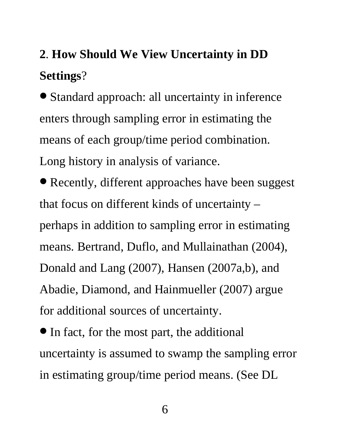### **2**. **How Should We View Uncertainty in DD Settings**?

∙ Standard approach: all uncertainty in inference enters through sampling error in estimating the means of each group/time period combination. Long history in analysis of variance.

∙ Recently, different approaches have been suggest that focus on different kinds of uncertainty – perhaps in addition to sampling error in estimating means. Bertrand, Duflo, and Mullainathan (2004), Donald and Lang (2007), Hansen (2007a,b), and Abadie, Diamond, and Hainmueller (2007) argue for additional sources of uncertainty.

∙In fact, for the most part, the additional uncertainty is assumed to swamp the sampling error in estimating group/time period means. (See DL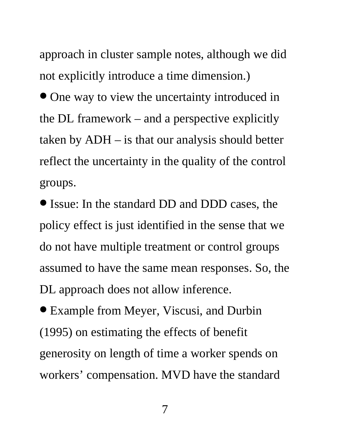approach in cluster sample notes, although we did not explicitly introduce a time dimension.)

∙ One way to view the uncertainty introduced in the DL framework – and a perspective explicitly taken by ADH – is that our analysis should better reflect the uncertainty in the quality of the control groups.

∙Issue: In the standard DD and DDD cases, the policy effect is just identified in the sense that we do not have multiple treatment or control groups assumed to have the same mean responses. So, the DL approach does not allow inference.

∙ Example from Meyer, Viscusi, and Durbin (1995) on estimating the effects of benefit generosity on length of time a worker spends on workers' compensation. MVD have the standard

7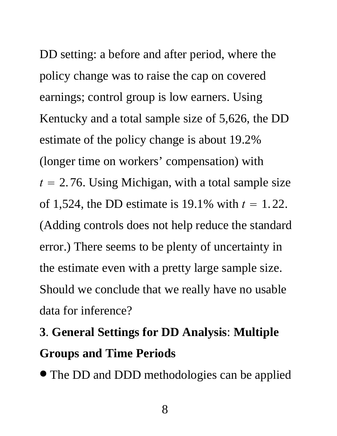DD setting: a before and after period, where the policy change was to raise the cap on covered earnings; control group is low earners. Using Kentucky and a total sample size of 5,626, the DD estimate of the policy change is about 19.2% (longer time on workers' compensation) with  $t = 2.76$ . Using Michigan, with a total sample size of 1,524, the DD estimate is 19.1% with  $t = 1.22$ . (Adding controls does not help reduce the standard error.) There seems to be plenty of uncertainty in the estimate even with a pretty large sample size. Should we conclude that we really have no usable data for inference?

### **3**. **General Settings for DD Analysis**: **Multiple Groups and Time Periods**

∙ The DD and DDD methodologies can be applied

8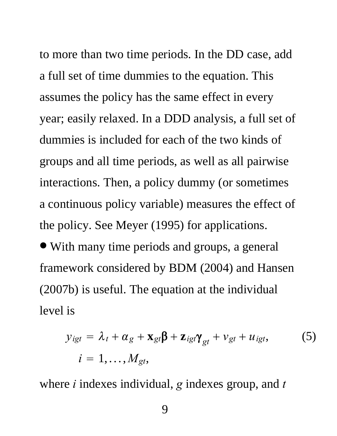to more than two time periods. In the DD case, add a full set of time dummies to the equation. This assumes the policy has the same effect in every year; easily relaxed. In a DDD analysis, a full set of dummies is included for each of the two kinds of groups and all time periods, as well as all pairwise interactions. Then, a policy dummy (or sometimes a continuous policy variable) measures the effect of the policy. See Meyer (1995) for applications.

∙ With many time periods and groups, a general framework considered by BDM (2004) and Hansen (2007b) is useful. The equation at the individual level is

$$
y_{igt} = \lambda_t + \alpha_g + \mathbf{x}_{gt} \boldsymbol{\beta} + \mathbf{z}_{igt} \boldsymbol{\gamma}_{gt} + v_{gt} + u_{igt},
$$
  
\n
$$
i = 1, ..., M_{gt},
$$
 (5)

where *i* indexes individual, *g* indexes group, and *t*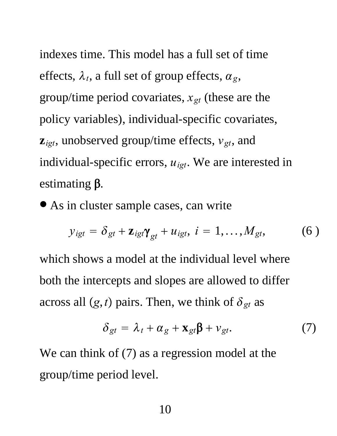indexes time. This model has a full set of time effects,  $\lambda_t$ , a full set of group effects,  $\alpha_g$ , group/time period covariates,  $x_{gt}$  (these are the policy variables), individual-specific covariates,  $z_{igt}$ , unobserved group/time effects,  $v_{gt}$ , and individual-specific errors, *uigt*. We are interested in estimating  $\beta$ .

∙ As in cluster sample cases, can write

$$
y_{igt} = \delta_{gt} + \mathbf{z}_{igt}\mathbf{\gamma}_{gt} + u_{igt}, \ i = 1, ..., M_{gt}, \qquad (6)
$$

which shows a model at the individual level where both the intercepts and slopes are allowed to differ across all  $(g, t)$  pairs. Then, we think of  $\delta_{gt}$  as

$$
\delta_{gt} = \lambda_t + \alpha_g + \mathbf{x}_{gt} \boldsymbol{\beta} + \nu_{gt}. \tag{7}
$$

We can think of  $(7)$  as a regression model at the group/time period level.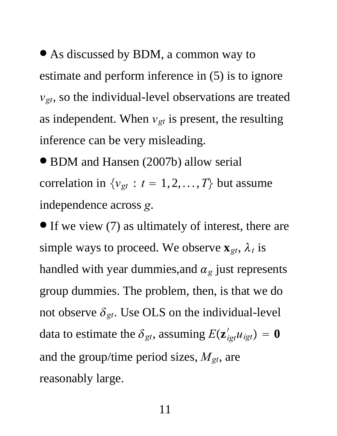∙ As discussed by BDM, a common way to estimate and perform inference in (5) is to ignore *vgt*, so the individual-level observations are treated as independent. When  $v_{gt}$  is present, the resulting inference can be very misleading.

∙ BDM and Hansen (2007b) allow serial correlation in  $\{v_{gt} : t = 1, 2, ..., T\}$  but assume independence across *g*.

∙If we view (7) as ultimately of interest, there are simple ways to proceed. We observe  $\mathbf{x}_{gt}$ ,  $\lambda_t$  is handled with year dummies, and  $\alpha_g$  just represents group dummies. The problem, then, is that we do not observe  $\delta_{gt}$ . Use OLS on the individual-level data to estimate the  $\delta_{gt}$ , assuming  $E(\mathbf{z}_{igt}^{\prime} u_{igt}) = \mathbf{0}$ and the group/time period sizes, *Mgt*, are reasonably large.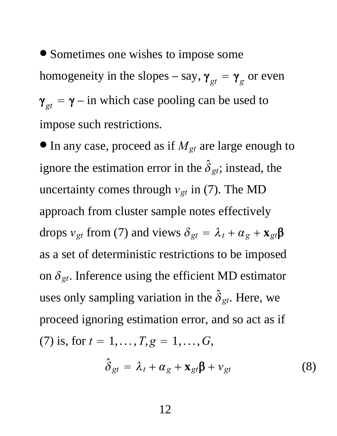∙ Sometimes one wishes to impose some homogeneity in the slopes – say,  $\gamma_{gt} = \gamma_g$  or even  $\gamma_{gt} = \gamma - i n$  which case pooling can be used to impose such restrictions.

∙In any case, proceed as if *Mgt* are large enough to ignore the estimation error in the  $\hat{\delta}_{gt}$ ; instead, the uncertainty comes through  $v_{gt}$  in (7). The MD approach from cluster sample notes effectively drops  $v_{gt}$  from (7) and views  $\delta_{gt} = \lambda_t + \alpha_g + \mathbf{x}_{gt} \beta$ as a set of deterministic restrictions to be imposed on  $\delta_{gt}$ . Inference using the efficient MD estimator uses only sampling variation in the  $\hat{\delta}_{gt}$ . Here, we proceed ignoring estimation error, and so act as if (7) is, for  $t = 1, ..., T, g = 1, ..., G$ ,

$$
\hat{\delta}_{gt} = \lambda_t + \alpha_g + \mathbf{x}_{gt} \mathbf{\beta} + \nu_{gt} \tag{8}
$$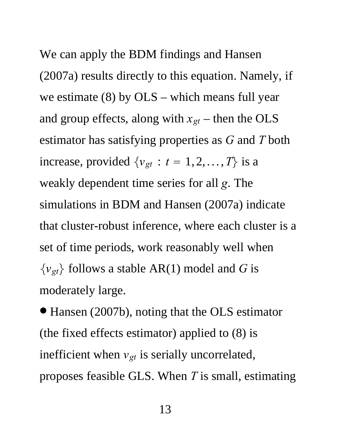We can apply the BDM findings and Hansen (2007a) results directly to this equation. Namely, if we estimate (8) by OLS – which means full year and group effects, along with  $x_{gt}$  – then the OLS estimator has satisfying properties as *G* and *T* both increase, provided  $\{v_{gt} : t = 1, 2, ..., T\}$  is a weakly dependent time series for all *g*. The simulations in BDM and Hansen (2007a) indicate that cluster-robust inference, where each cluster is a set of time periods, work reasonably well when  $\{v_{gt}\}$  follows a stable AR(1) model and *G* is moderately large.

∙ Hansen (2007b), noting that the OLS estimator (the fixed effects estimator) applied to (8) is inefficient when  $v_{gt}$  is serially uncorrelated, proposes feasible GLS. When *T* is small, estimating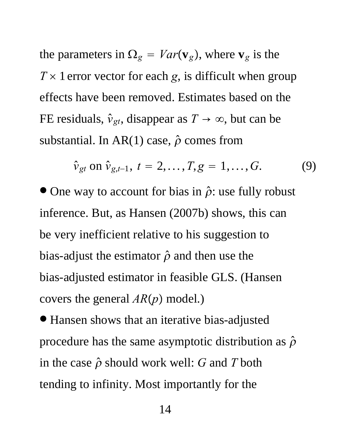the parameters in  $\Omega_g = Var(\mathbf{v}_g)$ , where  $\mathbf{v}_g$  is the  $T \times 1$  error vector for each *g*, is difficult when group effects have been removed. Estimates based on the FE residuals,  $\hat{v}_{gt}$ , disappear as  $T \to \infty$ , but can be substantial. In AR(1) case,  $\hat{\rho}$  comes from

$$
\hat{v}_{gt} \text{ on } \hat{v}_{g,t-1}, t = 2,...,T, g = 1,...,G. \tag{9}
$$

 $\bullet$  One way to account for bias in  $\hat{\rho}$ : use fully robust inference. But, as Hansen (2007b) shows, this can be very inefficient relative to his suggestion to bias-adjust the estimator  $\hat{\rho}$  and then use the bias-adjusted estimator in feasible GLS. (Hansen covers the general  $AR(p)$  model.)

∙ Hansen shows that an iterative bias-adjusted procedure has the same asymptotic distribution as  $\hat{\rho}$ in the case  $\hat{\rho}$  should work well: *G* and *T* both tending to infinity. Most importantly for the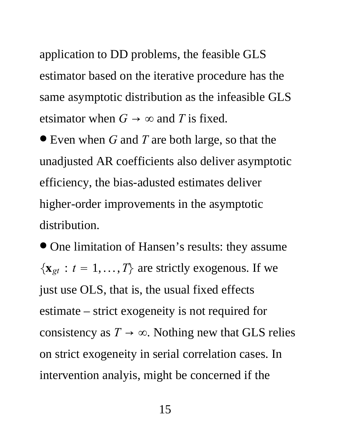application to DD problems, the feasible GLS estimator based on the iterative procedure has the same asymptotic distribution as the infeasible GLS etsimator when  $G \rightarrow \infty$  and *T* is fixed.

∙ Even when *<sup>G</sup>* and *<sup>T</sup>* are both large, so that the unadjusted AR coefficients also deliver asymptotic efficiency, the bias-adusted estimates deliver higher-order improvements in the asymptotic distribution.

∙ One limitation of Hansen's results: they assume  $\{x_{gt}: t = 1, ..., T\}$  are strictly exogenous. If we just use OLS, that is, the usual fixed effects estimate – strict exogeneity is not required for consistency as  $T \to \infty$ . Nothing new that GLS relies on strict exogeneity in serial correlation cases. In intervention analyis, might be concerned if the

15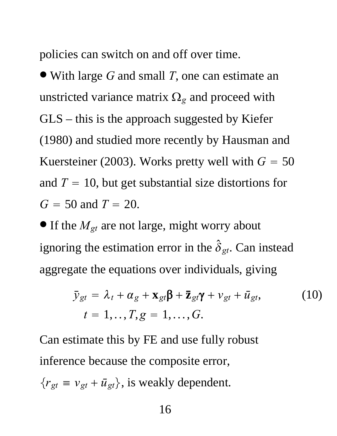policies can switch on and off over time.

∙ With large *<sup>G</sup>* and small *<sup>T</sup>*, one can estimate an unstricted variance matrix  $\Omega_g$  and proceed with GLS – this is the approach suggested by Kiefer (1980) and studied more recently by Hausman and Kuersteiner (2003). Works pretty well with  $G = 50$ and  $T = 10$ , but get substantial size distortions for  $G = 50$  and  $T = 20$ .

∙If the *Mgt* are not large, might worry about ignoring the estimation error in the  $\hat{\delta}_{gt}$ . Can instead aggregate the equations over individuals, giving

$$
\bar{y}_{gt} = \lambda_t + \alpha_g + \mathbf{x}_{gt} \boldsymbol{\beta} + \mathbf{\bar{z}}_{gt} \boldsymbol{\gamma} + v_{gt} + \bar{u}_{gt},
$$
\n
$$
t = 1, ..., T, g = 1, ..., G.
$$
\n(10)

Can estimate this by FE and use fully robust inference because the composite error,

$$
\{r_{gt} \equiv v_{gt} + \bar{u}_{gt}\}, \text{ is weakly dependent.}
$$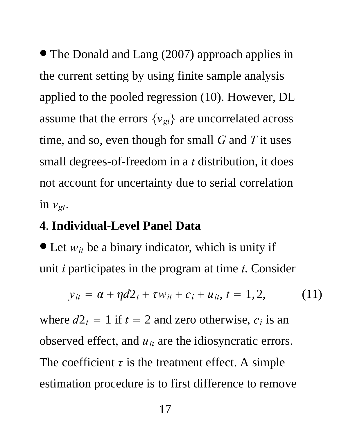∙ The Donald and Lang (2007) approach applies in the current setting by using finite sample analysis applied to the pooled regression (10). However, DL assume that the errors  $\{v_{gt}\}$  are uncorrelated across time, and so, even though for small *G* and *T* it uses small degrees-of-freedom in a *t* distribution, it does not account for uncertainty due to serial correlation in  $v_{gt}$ .

#### **4**. **Individual**-**Level Panel Data**

∙ Let *wit* be a binary indicator, which is unity if unit *i* participates in the program at time *t*. Consider

$$
y_{it} = \alpha + \eta d2_t + \tau w_{it} + c_i + u_{it}, t = 1, 2, \qquad (11)
$$

where  $d2_t = 1$  if  $t = 2$  and zero otherwise,  $c_i$  is an observed effect, and *uit* are the idiosyncratic errors. The coefficient  $\tau$  is the treatment effect. A simple estimation procedure is to first difference to remove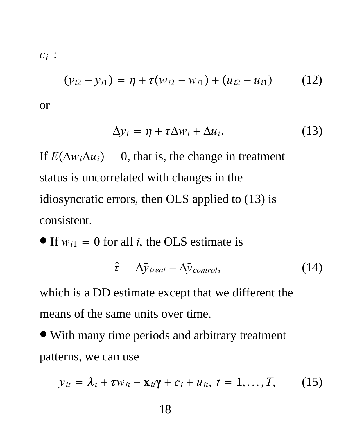*ci* :

$$
(y_{i2} - y_{i1}) = \eta + \tau(w_{i2} - w_{i1}) + (u_{i2} - u_{i1}) \qquad (12)
$$

or

$$
\Delta y_i = \eta + \tau \Delta w_i + \Delta u_i. \tag{13}
$$

If  $E(\Delta w_i \Delta u_i) = 0$ , that is, the change in treatment status is uncorrelated with changes in the idiosyncratic errors, then OLS applied to (13) is consistent.

• If 
$$
w_{i1} = 0
$$
 for all *i*, the OLS estimate is

$$
\hat{\tau} = \Delta \bar{y}_{\text{treat}} - \Delta \bar{y}_{\text{control}}, \qquad (14)
$$

which is a DD estimate except that we different the means of the same units over time.

∙ With many time periods and arbitrary treatment patterns, we can use

$$
y_{it} = \lambda_t + \tau w_{it} + \mathbf{x}_{it}\mathbf{\gamma} + c_i + u_{it}, t = 1, \ldots, T,
$$
 (15)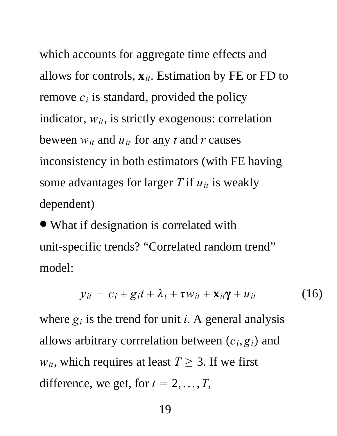which accounts for aggregate time effects and allows for controls, **x***it*. Estimation by FE or FD to remove  $c_i$  is standard, provided the policy indicator,  $w_{it}$ , is strictly exogenous: correlation beween  $w_{it}$  and  $u_{ir}$  for any *t* and *r* causes inconsistency in both estimators (with FE having some advantages for larger *T* if *uit* is weakly dependent)

∙ What if designation is correlated with unit-specific trends? "Correlated random trend" model:

$$
y_{it} = c_i + g_i t + \lambda_t + \tau w_{it} + \mathbf{x}_{it} \mathbf{y} + u_{it} \tag{16}
$$

where  $g_i$  is the trend for unit *i*. A general analysis allows arbitrary corrrelation between  $(c_i, g_i)$  and  $w_{it}$ , which requires at least  $T \geq 3$ . If we first difference, we get, for  $t = 2, \ldots, T$ ,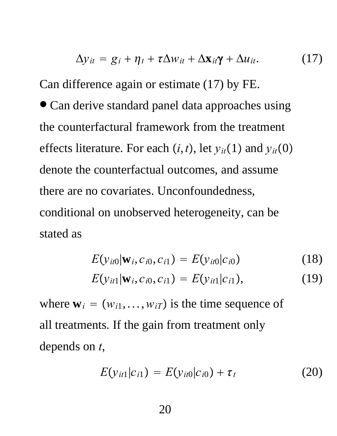$$
\Delta y_{it} = g_i + \eta_t + \tau \Delta w_{it} + \Delta \mathbf{x}_{it} \mathbf{\gamma} + \Delta u_{it}. \qquad (17)
$$

Can difference again or estimate (17) by FE.

∙ Can derive standard panel data approaches using the counterfactural framework from the treatment effects literature. For each  $(i, t)$ , let  $y_{it}(1)$  and  $y_{it}(0)$ denote the counterfactual outcomes, and assume there are no covariates. Unconfoundedness, conditional on unobserved heterogeneity, can be stated as

$$
E(y_{it0}|\mathbf{w}_i, c_{i0}, c_{i1}) = E(y_{it0}|c_{i0})
$$
 (18)

$$
E(y_{it1}|\mathbf{w}_i, c_{i0}, c_{i1}) = E(y_{it1}|c_{i1}), \qquad (19)
$$

where  $\mathbf{w}_i = (w_{i1}, \dots, w_{iT})$  is the time sequence of all treatments. If the gain from treatment only depends on *t*,

$$
E(y_{it1}|c_{i1}) = E(y_{it0}|c_{i0}) + \tau_t
$$
 (20)

20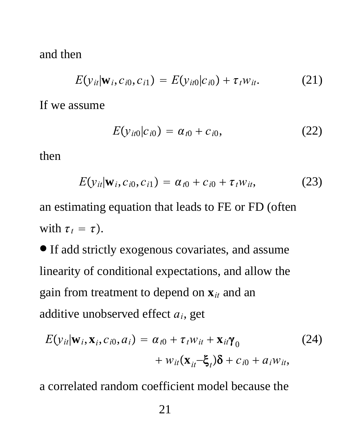and then

$$
E(y_{it}|\mathbf{w}_i, c_{i0}, c_{i1}) = E(y_{it0}|c_{i0}) + \tau_t w_{it}. \qquad (21)
$$

If we assume

$$
E(y_{it0}|c_{i0}) = \alpha_{t0} + c_{i0}, \qquad (22)
$$

then

$$
E(y_{it}|\mathbf{w}_i, c_{i0}, c_{i1}) = \alpha_{t0} + c_{i0} + \tau_t w_{it}, \qquad (23)
$$

an estimating equation that leads to FE or FD (often with  $\tau_t = \tau$ ).

∙If add strictly exogenous covariates, and assume linearity of conditional expectations, and allow the gain from treatment to depend on **x***it* and an additive unobserved effect *ai*, get

$$
E(y_{it}|\mathbf{w}_i, \mathbf{x}_i, c_{i0}, a_i) = \alpha_{t0} + \tau_t w_{it} + \mathbf{x}_{it} \gamma_0
$$
  
+  $w_{it}(\mathbf{x}_{it} - \boldsymbol{\xi}_t) \boldsymbol{\delta} + c_{i0} + a_i w_{it},$  (24)

a correlated random coefficient model because the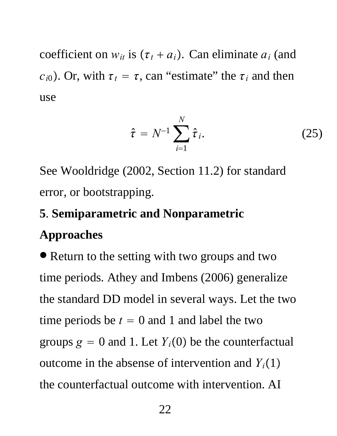coefficient on  $w_{it}$  is  $(\tau_t + a_i)$ . Can eliminate  $a_i$  (and  $c_{i0}$ ). Or, with  $\tau_t = \tau$ , can "estimate" the  $\tau_i$  and then use

$$
\hat{\tau} = N^{-1} \sum_{i=1}^{N} \hat{\tau}_i.
$$
 (25)

See Wooldridge (2002, Section 11.2) for standard error, or bootstrapping.

#### **5**. **Semiparametric and Nonparametric**

#### **Approaches**

∙ Return to the setting with two groups and two time periods. Athey and Imbens (2006) generalize the standard DD model in several ways. Let the two time periods be  $t = 0$  and 1 and label the two groups  $g = 0$  and 1. Let  $Y_i(0)$  be the counterfactual outcome in the absense of intervention and  $Y_i(1)$ the counterfactual outcome with intervention. AI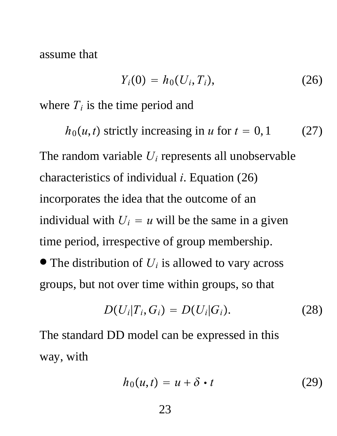assume that

$$
Y_i(0) = h_0(U_i, T_i), \qquad (26)
$$

where  $T_i$  is the time period and

 $h_0(u,t)$  strictly increasing in *u* for  $t = 0, 1$  (27) The random variable *Ui* represents all unobservable characteristics of individual *i*. Equation (26) incorporates the idea that the outcome of an individual with  $U_i = u$  will be the same in a given time period, irrespective of group membership. ∙ The distribution of *Ui* is allowed to vary across groups, but not over time within groups, so that

$$
D(U_i|T_i,G_i) = D(U_i|G_i). \qquad (28)
$$

The standard DD model can be expressed in this way, with

$$
h_0(u,t) = u + \delta \cdot t \tag{29}
$$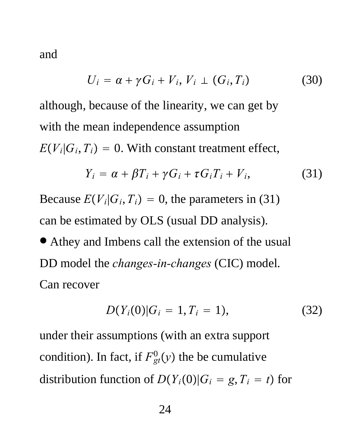and

$$
U_i = \alpha + \gamma G_i + V_i, V_i \perp (G_i, T_i)
$$
 (30)

although, because of the linearity, we can get by with the mean independence assumption  $E(V_i|G_i, T_i) = 0$ . With constant treatment effect,

$$
Y_i = \alpha + \beta T_i + \gamma G_i + \tau G_i T_i + V_i, \qquad (31)
$$

Because  $E(V_i|G_i, T_i) = 0$ , the parameters in (31) can be estimated by OLS (usual DD analysis).

● Athey and Imbens call the extension of the usual DD model the *changes-in-changes* (CIC) model. Can recover

$$
D(Y_i(0)|G_i=1,T_i=1), \qquad (32)
$$

under their assumptions (with an extra support condition). In fact, if  $F_{gt}^0(y)$  the be cumulative distribution function of  $D(Y_i(0)|G_i = g, T_i = t)$  for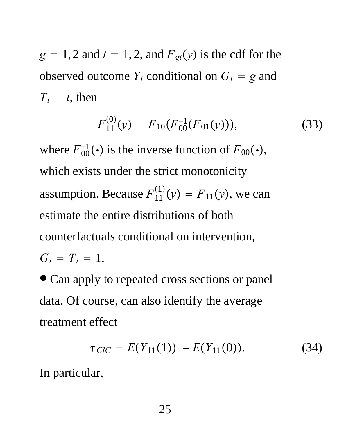$g = 1, 2$  and  $t = 1, 2$ , and  $F_{gt}(y)$  is the cdf for the observed outcome  $Y_i$  conditional on  $G_i = g$  and  $T_i = t$ , then

$$
F_{11}^{(0)}(y) = F_{10}(F_{00}^{-1}(F_{01}(y))), \qquad (33)
$$

where  $F_{00}^{-1}(\cdot)$  is the inverse function of  $F_{00}(\cdot)$ , which exists under the strict monotonicity assumption. Because  $F_{11}^{(1)}(y) = F_{11}(y)$ , we can estimate the entire distributions of both counterfactuals conditional on intervention,  $G_i = T_i = 1$ .

∙ Can apply to repeated cross sections or panel data. Of course, can also identify the average treatment effect

$$
\tau_{CIC} = E(Y_{11}(1)) - E(Y_{11}(0)). \tag{34}
$$

In particular,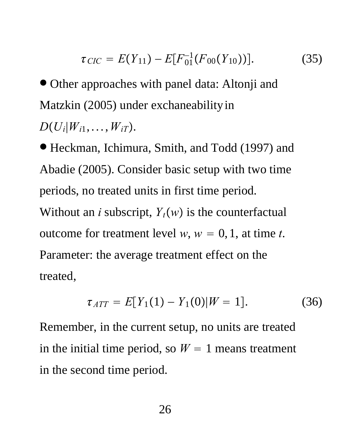$$
\tau_{\text{CIC}} = E(Y_{11}) - E[F_{01}^{-1}(F_{00}(Y_{10}))]. \tag{35}
$$

∙ Other approaches with panel data: Altonji and Matzkin (2005) under exchaneability in *D* $(U_i|W_{i1},...,W_{iT})$ .

∙ Heckman, Ichimura, Smith, and Todd (1997) and Abadie (2005). Consider basic setup with two time periods, no treated units in first time period. Without an *i* subscript,  $Y_t(w)$  is the counterfactual outcome for treatment level  $w$ ,  $w = 0, 1$ , at time *t*. Parameter: the average treatment effect on the treated,

$$
\tau_{ATT} = E[Y_1(1) - Y_1(0)|W = 1]. \tag{36}
$$

Remember, in the current setup, no units are treated in the initial time period, so  $W = 1$  means treatment in the second time period.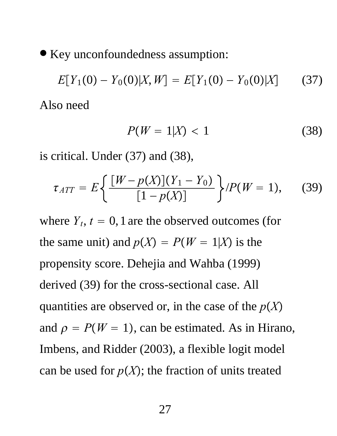∙ Key unconfoundedness assumption:

$$
E[Y_1(0) - Y_0(0)|X, W] = E[Y_1(0) - Y_0(0)|X]
$$
 (37)  
Also need

$$
P(W=1|X) < 1\tag{38}
$$

is critical. Under (37) and (38),

$$
\tau_{ATT} = E\left\{ \frac{[W - p(X)](Y_1 - Y_0)}{[1 - p(X)]} \right\} / P(W = 1), \quad (39)
$$

where  $Y_t$ ,  $t = 0$ , 1 are the observed outcomes (for the same unit) and  $p(X) = P(W = 1|X)$  is the propensity score. Dehejia and Wahba (1999) derived (39) for the cross-sectional case. All quantities are observed or, in the case of the  $p(X)$ and  $\rho = P(W = 1)$ , can be estimated. As in Hirano, Imbens, and Ridder (2003), a flexible logit model can be used for  $p(X)$ ; the fraction of units treated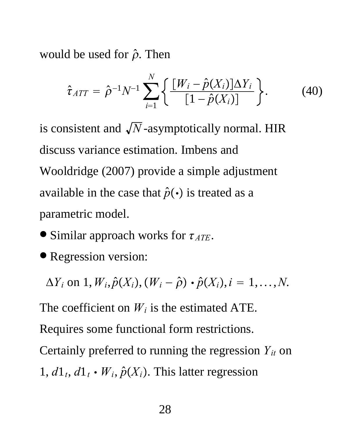would be used for  $\hat{\rho}$ . Then

$$
\hat{\tau}_{ATT} = \hat{\rho}^{-1} N^{-1} \sum_{i=1}^{N} \left\{ \frac{[W_i - \hat{p}(X_i)] \Delta Y_i}{[1 - \hat{p}(X_i)]} \right\}.
$$
 (40)

is consistent and  $\sqrt{N}$ -asymptotically normal. HIR discuss variance estimation. Imbens and Wooldridge (2007) provide a simple adjustment available in the case that  $\hat{p}(\cdot)$  is treated as a parametric model.

- ∙ Similar approach works for *ATE*.
- ∙ Regression version:

 $\Delta Y_i$  on  $1, W_i, \hat{p}(X_i), (W_i - \hat{\rho}) \cdot \hat{p}(X_i), i = 1, \ldots, N$ .

The coefficient on  $W_i$  is the estimated ATE.

Requires some functional form restrictions.

Certainly preferred to running the regression *Yit* on 1,  $d_1, d_1, d_1 \cdot W_i$ ,  $\hat{p}(X_i)$ . This latter regression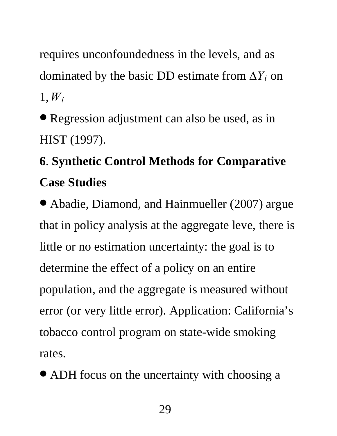requires unconfoundedness in the levels, and as dominated by the basic DD estimate from  $\Delta Y_i$  on 1,*Wi*

∙ Regression adjustment can also be used, as in HIST (1997).

## **6**. **Synthetic Control Methods for Comparative Case Studies**

∙ Abadie, Diamond, and Hainmueller (2007) argue that in policy analysis at the aggregate leve, there is little or no estimation uncertainty: the goal is to determine the effect of a policy on an entire population, and the aggregate is measured without error (or very little error). Application: California's tobacco control program on state-wide smoking rates.

∙ ADH focus on the uncertainty with choosing a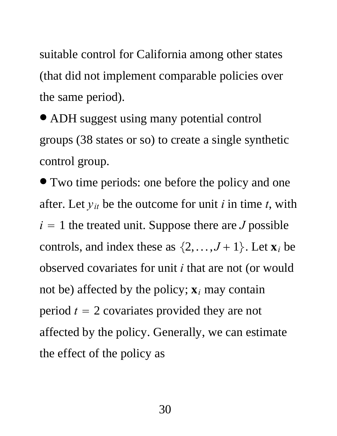suitable control for California among other states (that did not implement comparable policies over the same period).

∙ ADH suggest using many potential control groups (38 states or so) to create a single synthetic control group.

∙ Two time periods: one before the policy and one after. Let *yit* be the outcome for unit *i* in time *t*, with  $i = 1$  the treated unit. Suppose there are *J* possible controls, and index these as  $\{2, \ldots, J+1\}$ . Let  $\mathbf{x}_i$  be observed covariates for unit *i* that are not (or would not be) affected by the policy;  $\mathbf{x}_i$  may contain period  $t = 2$  covariates provided they are not affected by the policy. Generally, we can estimate the effect of the policy as